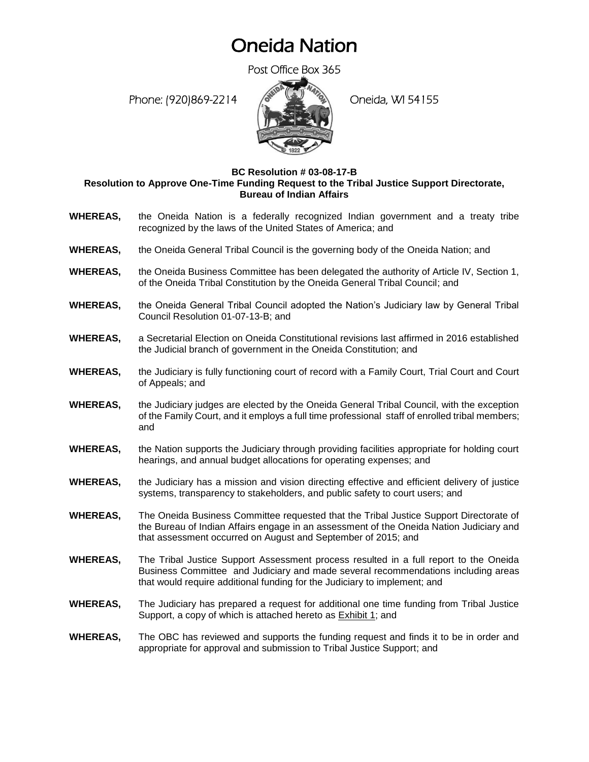### Oneida Nation

Post Office Box 365

Phone: (920)869-2214 (Oneida, WI 54155



#### **BC Resolution # 03-08-17-B Resolution to Approve One-Time Funding Request to the Tribal Justice Support Directorate, Bureau of Indian Affairs**

- **WHEREAS,** the Oneida Nation is a federally recognized Indian government and a treaty tribe recognized by the laws of the United States of America; and
- **WHEREAS,** the Oneida General Tribal Council is the governing body of the Oneida Nation; and
- **WHEREAS,** the Oneida Business Committee has been delegated the authority of Article IV, Section 1, of the Oneida Tribal Constitution by the Oneida General Tribal Council; and
- **WHEREAS,** the Oneida General Tribal Council adopted the Nation's Judiciary law by General Tribal Council Resolution 01-07-13-B; and
- **WHEREAS,** a Secretarial Election on Oneida Constitutional revisions last affirmed in 2016 established the Judicial branch of government in the Oneida Constitution; and
- **WHEREAS,** the Judiciary is fully functioning court of record with a Family Court, Trial Court and Court of Appeals; and
- **WHEREAS,** the Judiciary judges are elected by the Oneida General Tribal Council, with the exception of the Family Court, and it employs a full time professional staff of enrolled tribal members; and
- **WHEREAS,** the Nation supports the Judiciary through providing facilities appropriate for holding court hearings, and annual budget allocations for operating expenses; and
- **WHEREAS,** the Judiciary has a mission and vision directing effective and efficient delivery of justice systems, transparency to stakeholders, and public safety to court users; and
- **WHEREAS,** The Oneida Business Committee requested that the Tribal Justice Support Directorate of the Bureau of Indian Affairs engage in an assessment of the Oneida Nation Judiciary and that assessment occurred on August and September of 2015; and
- **WHEREAS,** The Tribal Justice Support Assessment process resulted in a full report to the Oneida Business Committee and Judiciary and made several recommendations including areas that would require additional funding for the Judiciary to implement; and
- **WHEREAS,** The Judiciary has prepared a request for additional one time funding from Tribal Justice Support, a copy of which is attached hereto as Exhibit 1; and
- **WHEREAS,** The OBC has reviewed and supports the funding request and finds it to be in order and appropriate for approval and submission to Tribal Justice Support; and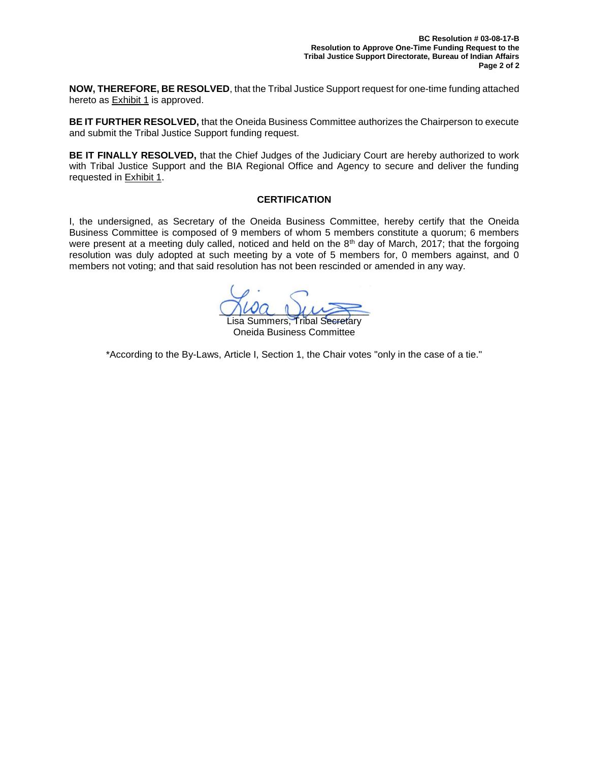**NOW, THEREFORE, BE RESOLVED**, that the Tribal Justice Support request for one-time funding attached hereto as **Exhibit 1** is approved.

**BE IT FURTHER RESOLVED,** that the Oneida Business Committee authorizes the Chairperson to execute and submit the Tribal Justice Support funding request.

**BE IT FINALLY RESOLVED,** that the Chief Judges of the Judiciary Court are hereby authorized to work with Tribal Justice Support and the BIA Regional Office and Agency to secure and deliver the funding requested in Exhibit 1.

### **CERTIFICATION**

I, the undersigned, as Secretary of the Oneida Business Committee, hereby certify that the Oneida Business Committee is composed of 9 members of whom 5 members constitute a quorum; 6 members were present at a meeting duly called, noticed and held on the 8<sup>th</sup> day of March, 2017; that the forgoing resolution was duly adopted at such meeting by a vote of 5 members for, 0 members against, and 0 members not voting; and that said resolution has not been rescinded or amended in any way.

 $\bigcup \omega a \perp \mu \rightarrow$ 

Lisa Summers, Tribal Secretary Oneida Business Committee

\*According to the By-Laws, Article I, Section 1, the Chair votes "only in the case of a tie."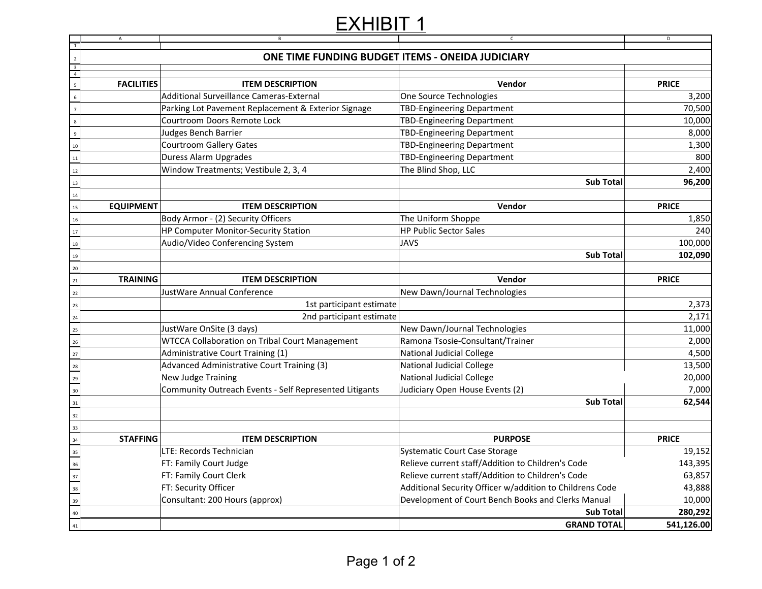# EXHIBIT<sub>1</sub>

|                                                                         | $\mathsf{A}$      | $\mathsf{B}$                                                            | $\mathsf C$                                              | $\overline{D}$ |
|-------------------------------------------------------------------------|-------------------|-------------------------------------------------------------------------|----------------------------------------------------------|----------------|
| $\overline{1}$<br>$\overline{2}$                                        |                   | ONE TIME FUNDING BUDGET ITEMS - ONEIDA JUDICIARY                        |                                                          |                |
|                                                                         |                   |                                                                         |                                                          |                |
| $\begin{array}{c c}\n3 \\ 4 \\ 5\n\end{array}$                          | <b>FACILITIES</b> | <b>ITEM DESCRIPTION</b>                                                 | Vendor                                                   | <b>PRICE</b>   |
| $6\phantom{a}$                                                          |                   | Additional Surveillance Cameras-External                                | One Source Technologies                                  | 3,200          |
| $\overline{7}$                                                          |                   | Parking Lot Pavement Replacement & Exterior Signage                     | TBD-Engineering Department                               | 70,500         |
|                                                                         |                   | Courtroom Doors Remote Lock                                             | <b>TBD-Engineering Department</b>                        | 10,000         |
| $\overline{\mathbf{8}}$                                                 |                   | Judges Bench Barrier                                                    | <b>TBD-Engineering Department</b>                        | 8,000          |
| $\overline{9}$                                                          |                   |                                                                         |                                                          |                |
| 10                                                                      |                   | <b>Courtroom Gallery Gates</b>                                          | <b>TBD-Engineering Department</b>                        | 1,300<br>800   |
| 11                                                                      |                   | Duress Alarm Upgrades                                                   | TBD-Engineering Department                               |                |
|                                                                         |                   | Window Treatments; Vestibule 2, 3, 4<br>The Blind Shop, LLC             |                                                          | 2,400          |
|                                                                         |                   |                                                                         | <b>Sub Total</b>                                         | 96,200         |
| $\begin{array}{c c}\n12 \\ 13 \\ \hline\n14 \\ \hline\n15\n\end{array}$ | <b>EQUIPMENT</b>  | <b>ITEM DESCRIPTION</b>                                                 | Vendor                                                   | <b>PRICE</b>   |
|                                                                         |                   | Body Armor - (2) Security Officers                                      | The Uniform Shoppe                                       | 1,850          |
| $\frac{16}{17}$                                                         |                   | HP Computer Monitor-Security Station                                    | <b>HP Public Sector Sales</b>                            | 240            |
| 18                                                                      |                   | Audio/Video Conferencing System                                         | <b>JAVS</b>                                              | 100,000        |
|                                                                         |                   |                                                                         | <b>Sub Total</b>                                         | 102,090        |
|                                                                         |                   |                                                                         |                                                          |                |
| $\begin{array}{c}\n19 \\ 20 \\ 21\n\end{array}$                         | <b>TRAINING</b>   | <b>ITEM DESCRIPTION</b>                                                 | Vendor                                                   | <b>PRICE</b>   |
| $\begin{array}{c}\n 22 \\  \hline\n \end{array}$                        |                   | JustWare Annual Conference                                              | New Dawn/Journal Technologies                            |                |
| $\overline{23}$                                                         |                   | 1st participant estimate                                                |                                                          | 2,373          |
|                                                                         |                   | 2nd participant estimate                                                |                                                          | 2,171          |
| $\begin{array}{c}\n 24 \\  \hline\n 25\n \end{array}$                   |                   | JustWare OnSite (3 days)                                                | New Dawn/Journal Technologies                            | 11,000         |
|                                                                         |                   | <b>WTCCA Collaboration on Tribal Court Management</b>                   | Ramona Tsosie-Consultant/Trainer                         | 2,000          |
|                                                                         |                   | Administrative Court Training (1)                                       | <b>National Judicial College</b>                         | 4,500          |
|                                                                         |                   | Advanced Administrative Court Training (3)<br>National Judicial College |                                                          | 13,500         |
|                                                                         |                   | New Judge Training                                                      | <b>National Judicial College</b>                         | 20,000         |
|                                                                         |                   | Community Outreach Events - Self Represented Litigants                  | Judiciary Open House Events (2)                          | 7,000          |
|                                                                         |                   |                                                                         | <b>Sub Total</b>                                         | 62,544         |
|                                                                         |                   |                                                                         |                                                          |                |
|                                                                         |                   |                                                                         |                                                          |                |
|                                                                         | <b>STAFFING</b>   | <b>ITEM DESCRIPTION</b>                                                 | <b>PURPOSE</b>                                           | <b>PRICE</b>   |
|                                                                         |                   | LTE: Records Technician                                                 | <b>Systematic Court Case Storage</b>                     | 19,152         |
|                                                                         |                   | FT: Family Court Judge                                                  | Relieve current staff/Addition to Children's Code        | 143,395        |
|                                                                         |                   | FT: Family Court Clerk                                                  | Relieve current staff/Addition to Children's Code        | 63,857         |
|                                                                         |                   | FT: Security Officer                                                    | Additional Security Officer w/addition to Childrens Code | 43,888         |
|                                                                         |                   | Consultant: 200 Hours (approx)                                          | Development of Court Bench Books and Clerks Manual       | 10,000         |
| 26 27 28 29 30 31 32 33 34 35 36 37 38 39 40 41                         |                   |                                                                         | <b>Sub Total</b>                                         | 280,292        |
|                                                                         |                   |                                                                         | <b>GRAND TOTAL</b>                                       | 541,126.00     |